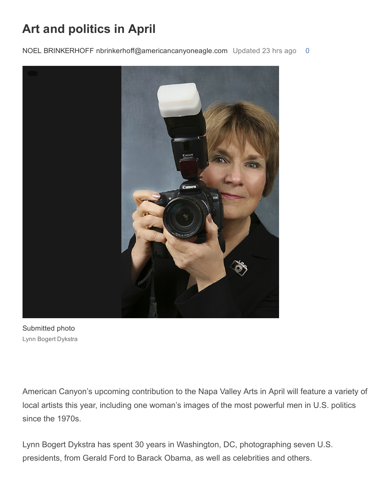## Art and politics in April

NOEL BRINKERHOFF nbrinkerhoff@americancanyoneagle.com Updated 23 hrs ago [0](http://napavalleyregister.com/eagle/news/local/art-and-politics-in-april/article_7220c7c7-852b-5af5-8f34-d690f5b7f134.html#comments)



Submitted photo Lynn Bogert Dykstra

American Canyon's upcoming contribution to the Napa Valley Arts in April will feature a variety of local artists this year, including one woman's images of the most powerful men in U.S. politics since the 1970s.

Lynn Bogert Dykstra has spent 30 years in Washington, DC, photographing seven U.S. presidents, from Gerald Ford to Barack Obama, as well as celebrities and others.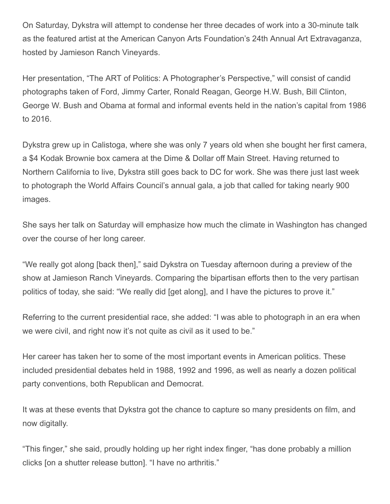On Saturday, Dykstra will attempt to condense her three decades of work into a 30-minute talk as the featured artist at the American Canyon Arts Foundation's 24th Annual Art Extravaganza, hosted by Jamieson Ranch Vineyards.

Her presentation, "The ART of Politics: A Photographer's Perspective," will consist of candid photographs taken of Ford, Jimmy Carter, Ronald Reagan, George H.W. Bush, Bill Clinton, George W. Bush and Obama at formal and informal events held in the nation's capital from 1986 to 2016.

Dykstra grew up in Calistoga, where she was only 7 years old when she bought her first camera, a \$4 Kodak Brownie box camera at the Dime & Dollar off Main Street. Having returned to Northern California to live, Dykstra still goes back to DC for work. She was there just last week to photograph the World Affairs Council's annual gala, a job that called for taking nearly 900 images.

She says her talk on Saturday will emphasize how much the climate in Washington has changed over the course of her long career.

"We really got along [back then]," said Dykstra on Tuesday afternoon during a preview of the show at Jamieson Ranch Vineyards. Comparing the bipartisan efforts then to the very partisan politics of today, she said: "We really did [get along], and I have the pictures to prove it."

Referring to the current presidential race, she added: "I was able to photograph in an era when we were civil, and right now it's not quite as civil as it used to be."

Her career has taken her to some of the most important events in American politics. These included presidential debates held in 1988, 1992 and 1996, as well as nearly a dozen political party conventions, both Republican and Democrat.

It was at these events that Dykstra got the chance to capture so many presidents on film, and now digitally.

"This finger," she said, proudly holding up her right index finger, "has done probably a million clicks [on a shutter release button]. "I have no arthritis."